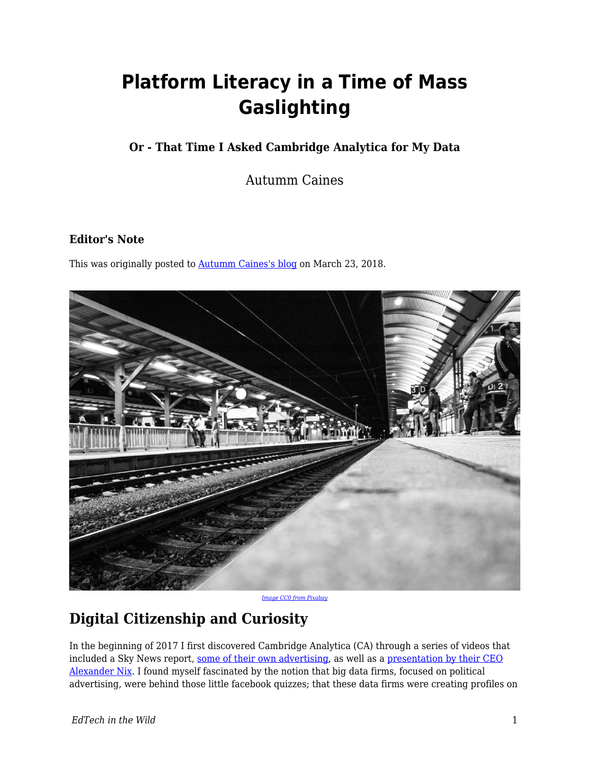# **Platform Literacy in a Time of Mass Gaslighting**

### **Or - That Time I Asked Cambridge Analytica for My Data**

Autumm Caines

#### **Editor's Note**

This was originally posted to **Autumm Caines's blog** on March 23, 2018.



*[Image CC0 from Pixabay](https://pixabay.com/en/railroad-track-wait-black-and-white-2243180/)*

# **Digital Citizenship and Curiosity**

In the beginning of 2017 I first discovered Cambridge Analytica (CA) through a series of videos that included a Sky News report, [some of their own advertising,](https://www.youtube.com/watch?v=zjvy9fFQsEw) as well as a [presentation by their CEO](https://www.youtube.com/watch?v=n8Dd5aVXLCc) [Alexander Nix.](https://www.youtube.com/watch?v=n8Dd5aVXLCc) I found myself fascinated by the notion that big data firms, focused on political advertising, were behind those little facebook quizzes; that these data firms were creating profiles on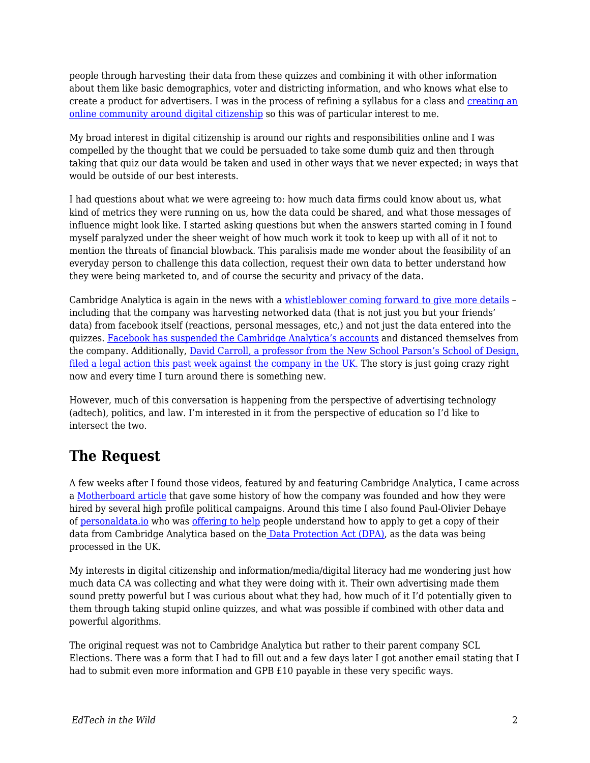people through harvesting their data from these quizzes and combining it with other information about them like basic demographics, voter and districting information, and who knows what else to create a product for advertisers. I was in the process of refining a syllabus for a class and [creating an](https://digciz.org/) [online community around digital citizenship](https://digciz.org/) so this was of particular interest to me.

My broad interest in digital citizenship is around our rights and responsibilities online and I was compelled by the thought that we could be persuaded to take some dumb quiz and then through taking that quiz our data would be taken and used in other ways that we never expected; in ways that would be outside of our best interests.

I had questions about what we were agreeing to: how much data firms could know about us, what kind of metrics they were running on us, how the data could be shared, and what those messages of influence might look like. I started asking questions but when the answers started coming in I found myself paralyzed under the sheer weight of how much work it took to keep up with all of it not to mention the threats of financial blowback. This paralisis made me wonder about the feasibility of an everyday person to challenge this data collection, request their own data to better understand how they were being marketed to, and of course the security and privacy of the data.

Cambridge Analytica is again in the news with a [whistleblower coming forward to give more details](https://www.theguardian.com/news/2018/mar/17/data-war-whistleblower-christopher-wylie-faceook-nix-bannon-trump) – including that the company was harvesting networked data (that is not just you but your friends' data) from facebook itself (reactions, personal messages, etc,) and not just the data entered into the quizzes. [Facebook has suspended the Cambridge Analytica's accounts](https://www.wsj.com/articles/facebook-suspends-cambridge-analytica-for-failing-to-delete-user-data-1521260051) and distanced themselves from the company. Additionally, [David Carroll, a professor from the New School Parson's School of Design,](https://www.documentcloud.org/documents/4413896-Prof-David-Carroll-UK-Legal-Claim-against.html) [filed a legal action this past week against the company in the UK.](https://www.documentcloud.org/documents/4413896-Prof-David-Carroll-UK-Legal-Claim-against.html) The story is just going crazy right now and every time I turn around there is something new.

However, much of this conversation is happening from the perspective of advertising technology (adtech), politics, and law. I'm interested in it from the perspective of education so I'd like to intersect the two.

### **The Request**

A few weeks after I found those videos, featured by and featuring Cambridge Analytica, I came across a [Motherboard article](https://motherboard.vice.com/en_us/article/mg9vvn/how-our-likes-helped-trump-win) that gave some history of how the company was founded and how they were hired by several high profile political campaigns. Around this time I also found Paul-Olivier Dehaye of [personaldata.io](https://personaldata.io/) who was [offering to help](https://medium.com/personaldata-io/quick-guide-to-asking-cambridge-analytica-for-your-data-52f9e74bd059) people understand how to apply to get a copy of their data from Cambridge Analytica based on the [Data Protection Act \(DPA\)](https://www.legislation.gov.uk/ukpga/1998/29/contents), as the data was being processed in the UK.

My interests in digital citizenship and information/media/digital literacy had me wondering just how much data CA was collecting and what they were doing with it. Their own advertising made them sound pretty powerful but I was curious about what they had, how much of it I'd potentially given to them through taking stupid online quizzes, and what was possible if combined with other data and powerful algorithms.

The original request was not to Cambridge Analytica but rather to their parent company SCL Elections. There was a form that I had to fill out and a few days later I got another email stating that I had to submit even more information and GPB £10 payable in these very specific ways.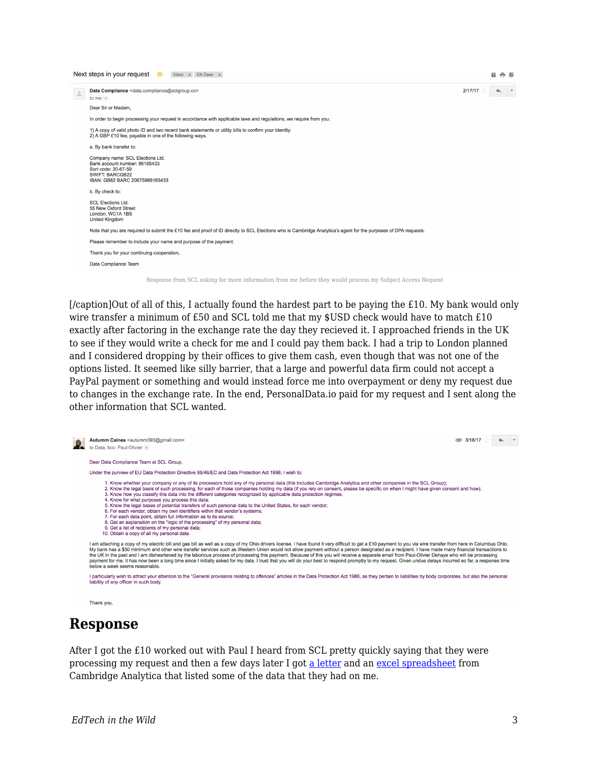

[/caption]Out of all of this, I actually found the hardest part to be paying the £10. My bank would only wire transfer a minimum of £50 and SCL told me that my \$USD check would have to match £10 exactly after factoring in the exchange rate the day they recieved it. I approached friends in the UK to see if they would write a check for me and I could pay them back. I had a trip to London planned and I considered dropping by their offices to give them cash, even though that was not one of the options listed. It seemed like silly barrier, that a large and powerful data firm could not accept a PayPal payment or something and would instead force me into overpayment or deny my request due to changes in the exchange rate. In the end, PersonalData.io paid for my request and I sent along the other information that SCL wanted.



liability of any officer in such body

Thank you,

### **Response**

After I got the £10 worked out with Paul I heard from SCL pretty quickly saying that they were processing my request and then a few days later I got [a letter](https://drive.google.com/file/d/1kioq-FHNvsYbszwpooOSPwlb-WYFrgwf/view?usp=sharing) and an [excel spreadsheet](https://docs.google.com/spreadsheets/d/1oi0HbaWXF0_3dvthY9zzfpPvaMBJqUYBJ3pLNrqhKKU/edit?usp=sharing) from Cambridge Analytica that listed some of the data that they had on me.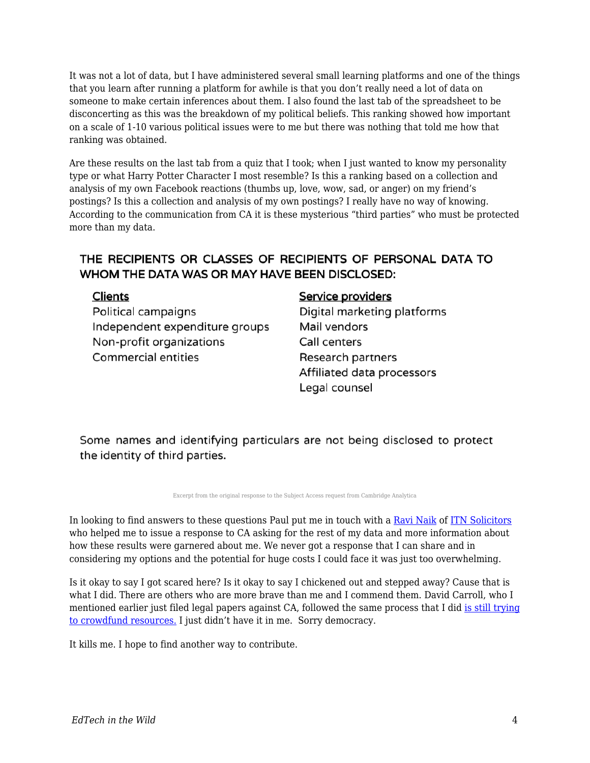It was not a lot of data, but I have administered several small learning platforms and one of the things that you learn after running a platform for awhile is that you don't really need a lot of data on someone to make certain inferences about them. I also found the last tab of the spreadsheet to be disconcerting as this was the breakdown of my political beliefs. This ranking showed how important on a scale of 1-10 various political issues were to me but there was nothing that told me how that ranking was obtained.

Are these results on the last tab from a quiz that I took; when I just wanted to know my personality type or what Harry Potter Character I most resemble? Is this a ranking based on a collection and analysis of my own Facebook reactions (thumbs up, love, wow, sad, or anger) on my friend's postings? Is this a collection and analysis of my own postings? I really have no way of knowing. According to the communication from CA it is these mysterious "third parties" who must be protected more than my data.

#### THE RECIPIENTS OR CLASSES OF RECIPIENTS OF PERSONAL DATA TO WHOM THE DATA WAS OR MAY HAVE BEEN DISCLOSED:

#### **Clients**

Political campaigns Independent expenditure groups Non-profit organizations **Commercial entities** 

#### Service providers

Digital marketing platforms Mail vendors Call centers Research partners Affiliated data processors Legal counsel

Some names and identifying particulars are not being disclosed to protect the identity of third parties.

Excerpt from the original response to the Subject Access request from Cambridge Analytica

In looking to find answers to these questions Paul put me in touch with a [Ravi Naik](http://www.itnsolicitors.com/our-team/partners/ravi-naik) of [ITN Solicitors](http://www.itnsolicitors.com/) who helped me to issue a response to CA asking for the rest of my data and more information about how these results were garnered about me. We never got a response that I can share and in considering my options and the potential for huge costs I could face it was just too overwhelming.

Is it okay to say I got scared here? Is it okay to say I chickened out and stepped away? Cause that is what I did. There are others who are more brave than me and I commend them. David Carroll, who I mentioned earlier just filed legal papers against CA, followed the same process that I did [is still trying](https://www.crowdjustice.com/case/scl/) [to crowdfund resources.](https://www.crowdjustice.com/case/scl/) I just didn't have it in me. Sorry democracy.

It kills me. I hope to find another way to contribute.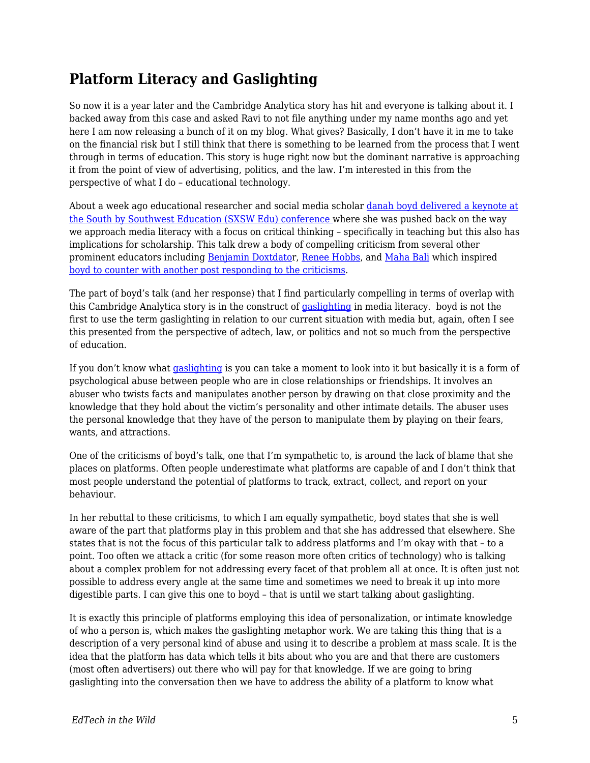## **Platform Literacy and Gaslighting**

So now it is a year later and the Cambridge Analytica story has hit and everyone is talking about it. I backed away from this case and asked Ravi to not file anything under my name months ago and yet here I am now releasing a bunch of it on my blog. What gives? Basically, I don't have it in me to take on the financial risk but I still think that there is something to be learned from the process that I went through in terms of education. This story is huge right now but the dominant narrative is approaching it from the point of view of advertising, politics, and the law. I'm interested in this from the perspective of what I do – educational technology.

About a week ago educational researcher and social media scholar [danah boyd delivered a keynote at](https://points.datasociety.net/you-think-you-want-media-literacy-do-you-7cad6af18ec2) [the South by Southwest Education \(SXSW Edu\) conference](https://points.datasociety.net/you-think-you-want-media-literacy-do-you-7cad6af18ec2) where she was pushed back on the way we approach media literacy with a focus on critical thinking – specifically in teaching but this also has implications for scholarship. This talk drew a body of compelling criticism from several other prominent educators including [Benjamin Doxtdato](http://www.longviewoneducation.org/no-cognitive-strengthening-exercises-arent-answer-media-literacy/)r, [Renee Hobbs](https://mediaedlab.com/2018/03/10/freedom-to-choose-an-existential-crisis/amp/), and [Maha Bali](https://blog.mahabali.me/social-media/too-critical-not-critical-enough/) which inspired [boyd to counter with another post responding to the criticisms.](https://medium.com/@zephoria/a-few-responses-to-criticism-of-my-sxsw-edu-keynote-on-media-literacy-7eb2843fae22)

The part of boyd's talk (and her response) that I find particularly compelling in terms of overlap with this Cambridge Analytica story is in the construct of [gaslighting](https://medium.com/@sheaemmafett/10-things-i-wish-i-d-known-about-gaslighting-22234cb5e407) in media literacy. boyd is not the first to use the term gaslighting in relation to our current situation with media but, again, often I see this presented from the perspective of adtech, law, or politics and not so much from the perspective of education.

If you don't know what [gaslighting](https://www.bustle.com/articles/132207-5-common-phrases-you-may-not-realize-are-gaslighting) is you can take a moment to look into it but basically it is a form of psychological abuse between people who are in close relationships or friendships. It involves an abuser who twists facts and manipulates another person by drawing on that close proximity and the knowledge that they hold about the victim's personality and other intimate details. The abuser uses the personal knowledge that they have of the person to manipulate them by playing on their fears, wants, and attractions.

One of the criticisms of boyd's talk, one that I'm sympathetic to, is around the lack of blame that she places on platforms. Often people underestimate what platforms are capable of and I don't think that most people understand the potential of platforms to track, extract, collect, and report on your behaviour.

In her rebuttal to these criticisms, to which I am equally sympathetic, boyd states that she is well aware of the part that platforms play in this problem and that she has addressed that elsewhere. She states that is not the focus of this particular talk to address platforms and I'm okay with that – to a point. Too often we attack a critic (for some reason more often critics of technology) who is talking about a complex problem for not addressing every facet of that problem all at once. It is often just not possible to address every angle at the same time and sometimes we need to break it up into more digestible parts. I can give this one to boyd – that is until we start talking about gaslighting.

It is exactly this principle of platforms employing this idea of personalization, or intimate knowledge of who a person is, which makes the gaslighting metaphor work. We are taking this thing that is a description of a very personal kind of abuse and using it to describe a problem at mass scale. It is the idea that the platform has data which tells it bits about who you are and that there are customers (most often advertisers) out there who will pay for that knowledge. If we are going to bring gaslighting into the conversation then we have to address the ability of a platform to know what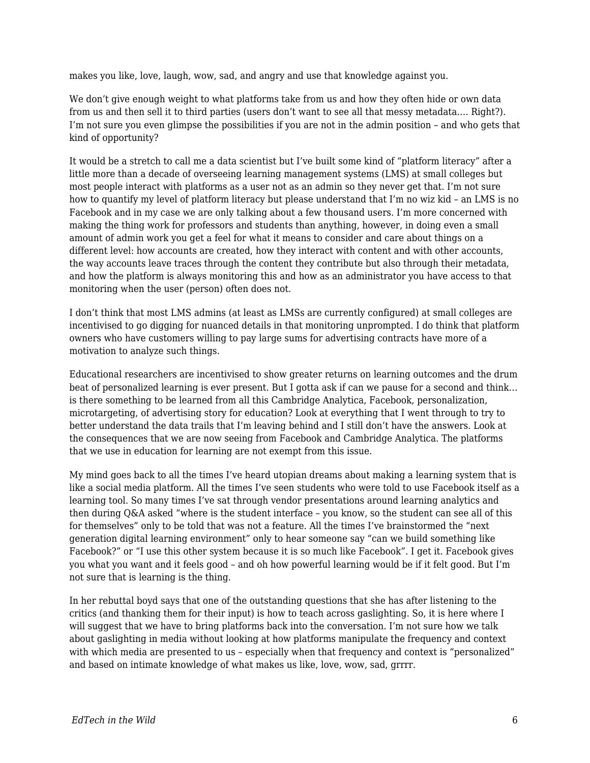makes you like, love, laugh, wow, sad, and angry and use that knowledge against you.

We don't give enough weight to what platforms take from us and how they often hide or own data from us and then sell it to third parties (users don't want to see all that messy metadata…. Right?). I'm not sure you even glimpse the possibilities if you are not in the admin position – and who gets that kind of opportunity?

It would be a stretch to call me a data scientist but I've built some kind of "platform literacy" after a little more than a decade of overseeing learning management systems (LMS) at small colleges but most people interact with platforms as a user not as an admin so they never get that. I'm not sure how to quantify my level of platform literacy but please understand that I'm no wiz kid – an LMS is no Facebook and in my case we are only talking about a few thousand users. I'm more concerned with making the thing work for professors and students than anything, however, in doing even a small amount of admin work you get a feel for what it means to consider and care about things on a different level: how accounts are created, how they interact with content and with other accounts, the way accounts leave traces through the content they contribute but also through their metadata, and how the platform is always monitoring this and how as an administrator you have access to that monitoring when the user (person) often does not.

I don't think that most LMS admins (at least as LMSs are currently configured) at small colleges are incentivised to go digging for nuanced details in that monitoring unprompted. I do think that platform owners who have customers willing to pay large sums for advertising contracts have more of a motivation to analyze such things.

Educational researchers are incentivised to show greater returns on learning outcomes and the drum beat of personalized learning is ever present. But I gotta ask if can we pause for a second and think... is there something to be learned from all this Cambridge Analytica, Facebook, personalization, microtargeting, of advertising story for education? Look at everything that I went through to try to better understand the data trails that I'm leaving behind and I still don't have the answers. Look at the consequences that we are now seeing from Facebook and Cambridge Analytica. The platforms that we use in education for learning are not exempt from this issue.

My mind goes back to all the times I've heard utopian dreams about making a learning system that is like a social media platform. All the times I've seen students who were told to use Facebook itself as a learning tool. So many times I've sat through vendor presentations around learning analytics and then during Q&A asked "where is the student interface – you know, so the student can see all of this for themselves" only to be told that was not a feature. All the times I've brainstormed the "next generation digital learning environment" only to hear someone say "can we build something like Facebook?" or "I use this other system because it is so much like Facebook". I get it. Facebook gives you what you want and it feels good – and oh how powerful learning would be if it felt good. But I'm not sure that is learning is the thing.

In her rebuttal boyd says that one of the outstanding questions that she has after listening to the critics (and thanking them for their input) is how to teach across gaslighting. So, it is here where I will suggest that we have to bring platforms back into the conversation. I'm not sure how we talk about gaslighting in media without looking at how platforms manipulate the frequency and context with which media are presented to us - especially when that frequency and context is "personalized" and based on intimate knowledge of what makes us like, love, wow, sad, grrrr.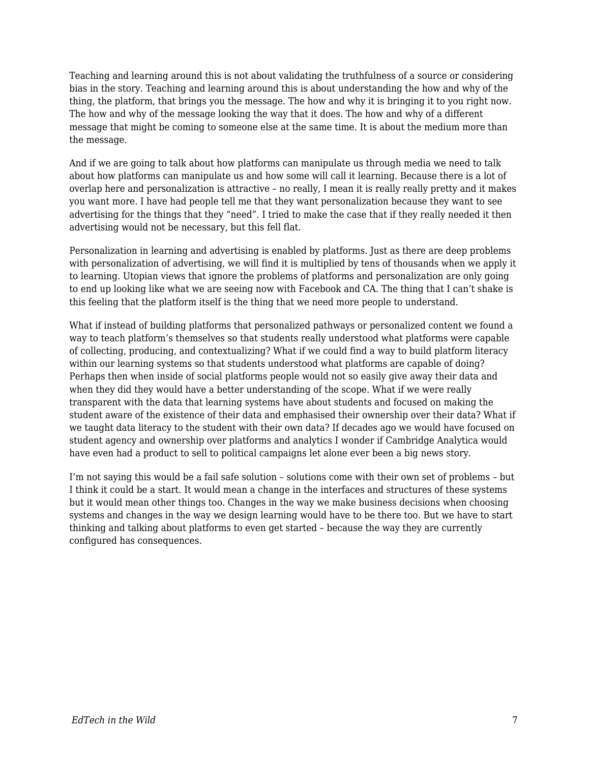Teaching and learning around this is not about validating the truthfulness of a source or considering bias in the story. Teaching and learning around this is about understanding the how and why of the thing, the platform, that brings you the message. The how and why it is bringing it to you right now. The how and why of the message looking the way that it does. The how and why of a different message that might be coming to someone else at the same time. It is about the medium more than the message.

And if we are going to talk about how platforms can manipulate us through media we need to talk about how platforms can manipulate us and how some will call it learning. Because there is a lot of overlap here and personalization is attractive – no really, I mean it is really really pretty and it makes you want more. I have had people tell me that they want personalization because they want to see advertising for the things that they "need". I tried to make the case that if they really needed it then advertising would not be necessary, but this fell flat.

Personalization in learning and advertising is enabled by platforms. Just as there are deep problems with personalization of advertising, we will find it is multiplied by tens of thousands when we apply it to learning. Utopian views that ignore the problems of platforms and personalization are only going to end up looking like what we are seeing now with Facebook and CA. The thing that I can't shake is this feeling that the platform itself is the thing that we need more people to understand.

What if instead of building platforms that personalized pathways or personalized content we found a way to teach platform's themselves so that students really understood what platforms were capable of collecting, producing, and contextualizing? What if we could find a way to build platform literacy within our learning systems so that students understood what platforms are capable of doing? Perhaps then when inside of social platforms people would not so easily give away their data and when they did they would have a better understanding of the scope. What if we were really transparent with the data that learning systems have about students and focused on making the student aware of the existence of their data and emphasised their ownership over their data? What if we taught data literacy to the student with their own data? If decades ago we would have focused on student agency and ownership over platforms and analytics I wonder if Cambridge Analytica would have even had a product to sell to political campaigns let alone ever been a big news story.

I'm not saying this would be a fail safe solution – solutions come with their own set of problems – but I think it could be a start. It would mean a change in the interfaces and structures of these systems but it would mean other things too. Changes in the way we make business decisions when choosing systems and changes in the way we design learning would have to be there too. But we have to start thinking and talking about platforms to even get started – because the way they are currently configured has consequences.